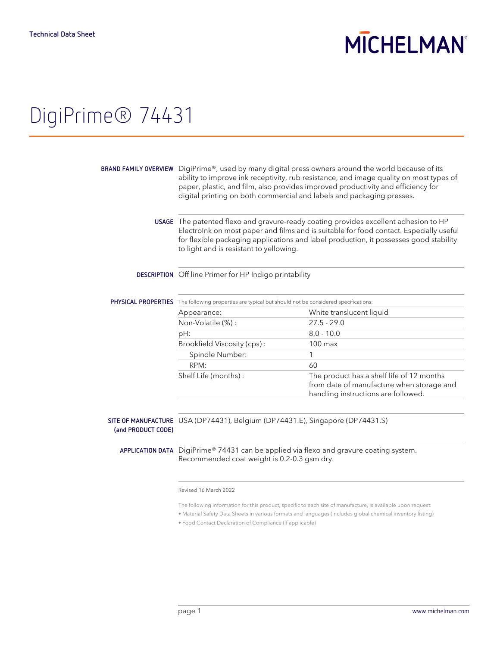## **MICHELMAN**

## DigiPrime® 74431

|                    | BRAND FAMILY OVERVIEW DigiPrime®, used by many digital press owners around the world because of its<br>ability to improve ink receptivity, rub resistance, and image quality on most types of<br>paper, plastic, and film, also provides improved productivity and efficiency for<br>digital printing on both commercial and labels and packaging presses. |                                                                                                                               |  |
|--------------------|------------------------------------------------------------------------------------------------------------------------------------------------------------------------------------------------------------------------------------------------------------------------------------------------------------------------------------------------------------|-------------------------------------------------------------------------------------------------------------------------------|--|
|                    | USAGE The patented flexo and gravure-ready coating provides excellent adhesion to HP<br>Electrolnk on most paper and films and is suitable for food contact. Especially useful<br>for flexible packaging applications and label production, it possesses good stability<br>to light and is resistant to yellowing.                                         |                                                                                                                               |  |
|                    | <b>DESCRIPTION</b> Off line Primer for HP Indigo printability                                                                                                                                                                                                                                                                                              |                                                                                                                               |  |
|                    | <b>PHYSICAL PROPERTIES</b> The following properties are typical but should not be considered specifications:                                                                                                                                                                                                                                               |                                                                                                                               |  |
|                    | Appearance:                                                                                                                                                                                                                                                                                                                                                | White translucent liquid                                                                                                      |  |
|                    | Non-Volatile (%):                                                                                                                                                                                                                                                                                                                                          | $27.5 - 29.0$                                                                                                                 |  |
|                    | pH:                                                                                                                                                                                                                                                                                                                                                        | $8.0 - 10.0$                                                                                                                  |  |
|                    | Brookfield Viscosity (cps):                                                                                                                                                                                                                                                                                                                                | $100$ max                                                                                                                     |  |
|                    | Spindle Number:                                                                                                                                                                                                                                                                                                                                            | 1                                                                                                                             |  |
|                    | RPM:                                                                                                                                                                                                                                                                                                                                                       | 60                                                                                                                            |  |
|                    | Shelf Life (months):                                                                                                                                                                                                                                                                                                                                       | The product has a shelf life of 12 months<br>from date of manufacture when storage and<br>handling instructions are followed. |  |
|                    |                                                                                                                                                                                                                                                                                                                                                            |                                                                                                                               |  |
| (and PRODUCT CODE) | SITE OF MANUFACTURE USA (DP74431), Belgium (DP74431.E), Singapore (DP74431.S)                                                                                                                                                                                                                                                                              |                                                                                                                               |  |
|                    | APPLICATION DATA DigiPrime® 74431 can be applied via flexo and gravure coating system.<br>Recommended coat weight is 0.2-0.3 gsm dry.                                                                                                                                                                                                                      |                                                                                                                               |  |
|                    | Revised 16 March 2022                                                                                                                                                                                                                                                                                                                                      |                                                                                                                               |  |

The following information for this product, specific to each site of manufacture, is available upon request:

• Material Safety Data Sheets in various formats and languages (includes global chemical inventory listing)

• Food Contact Declaration of Compliance (if applicable)